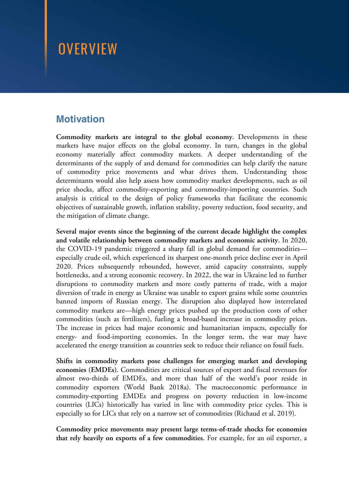# **OVERVIEW**

## **Motivation**

**Commodity markets are integral to the global economy.** Developments in these markets have major effects on the global economy. In turn, changes in the global economy materially affect commodity markets. A deeper understanding of the determinants of the supply of and demand for commodities can help clarify the nature of commodity price movements and what drives them. Understanding those determinants would also help assess how commodity market developments, such as oil price shocks, affect commodity-exporting and commodity-importing countries. Such analysis is critical to the design of policy frameworks that facilitate the economic objectives of sustainable growth, inflation stability, poverty reduction, food security, and the mitigation of climate change.

**Several major events since the beginning of the current decade highlight the complex and volatile relationship between commodity markets and economic activity.** In 2020, the COVID-19 pandemic triggered a sharp fall in global demand for commodities especially crude oil, which experienced its sharpest one-month price decline ever in April 2020. Prices subsequently rebounded, however, amid capacity constraints, supply bottlenecks, and a strong economic recovery. In 2022, the war in Ukraine led to further disruptions to commodity markets and more costly patterns of trade, with a major diversion of trade in energy as Ukraine was unable to export grains while some countries banned imports of Russian energy. The disruption also displayed how interrelated commodity markets are—high energy prices pushed up the production costs of other commodities (such as fertilizers), fueling a broad-based increase in commodity prices. The increase in prices had major economic and humanitarian impacts, especially for energy- and food-importing economies. In the longer term, the war may have accelerated the energy transition as countries seek to reduce their reliance on fossil fuels.

**Shifts in commodity markets pose challenges for emerging market and developing economies (EMDEs).** Commodities are critical sources of export and fiscal revenues for almost two-thirds of EMDEs, and more than half of the world's poor reside in commodity exporters (World Bank 2018a). The macroeconomic performance in commodity-exporting EMDEs and progress on poverty reduction in low-income countries (LICs) historically has varied in line with commodity price cycles. This is especially so for LICs that rely on a narrow set of commodities (Richaud et al. 2019).

**Commodity price movements may present large terms-of-trade shocks for economies that rely heavily on exports of a few commodities.** For example, for an oil exporter, a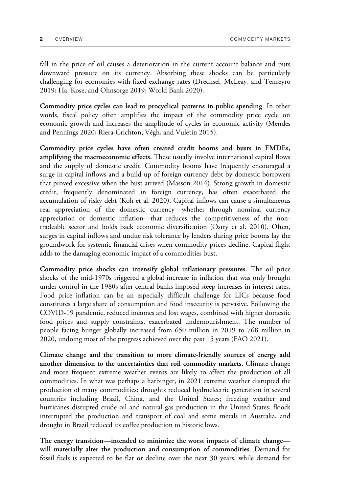fall in the price of oil causes a deterioration in the current account balance and puts downward pressure on its currency. Absorbing these shocks can be particularly challenging for economies with fixed exchange rates (Drechsel, McLeay, and Tenreyro 2019; Ha, Kose, and Ohnsorge 2019; World Bank 2020).

**Commodity price cycles can lead to procyclical patterns in public spending**. In other words, fiscal policy often amplifies the impact of the commodity price cycle on economic growth and increases the amplitude of cycles in economic activity (Mendes and Pennings 2020; Riera-Crichton, Végh, and Vuletin 2015).

**Commodity price cycles have often created credit booms and busts in EMDEs, amplifying the macroeconomic effects.** These usually involve international capital flows and the supply of domestic credit. Commodity booms have frequently encouraged a surge in capital inflows and a build-up of foreign currency debt by domestic borrowers that proved excessive when the bust arrived (Masson 2014). Strong growth in domestic credit, frequently denominated in foreign currency, has often exacerbated the accumulation of risky debt (Koh et al. 2020). Capital inflows can cause a simultaneous real appreciation of the domestic currency—whether through nominal currency appreciation or domestic inflation—that reduces the competitiveness of the nontradeable sector and holds back economic diversification (Ostry et al. 2010). Often, surges in capital inflows and undue risk tolerance by lenders during price booms lay the groundwork for systemic financial crises when commodity prices decline. Capital flight adds to the damaging economic impact of a commodities bust.

**Commodity price shocks can intensify global inflationary pressures.** The oil price shocks of the mid-1970s triggered a global increase in inflation that was only brought under control in the 1980s after central banks imposed steep increases in interest rates. Food price inflation can be an especially difficult challenge for LICs because food constitutes a large share of consumption and food insecurity is pervasive. Following the COVID-19 pandemic, reduced incomes and lost wages, combined with higher domestic food prices and supply constraints, exacerbated undernourishment. The number of people facing hunger globally increased from 650 million in 2019 to 768 million in 2020, undoing most of the progress achieved over the past 15 years (FAO 2021).

**Climate change and the transition to more climate-friendly sources of energy add another dimension to the uncertainties that roil commodity markets.** Climate change and more frequent extreme weather events are likely to affect the production of all commodities. In what was perhaps a harbinger, in 2021 extreme weather disrupted the production of many commodities: droughts reduced hydroelectric generation in several countries including Brazil, China, and the United States; freezing weather and hurricanes disrupted crude oil and natural gas production in the United States; floods interrupted the production and transport of coal and some metals in Australia, and drought in Brazil reduced its coffee production to historic lows.

**The energy transition—intended to minimize the worst impacts of climate change will materially alter the production and consumption of commodities**. Demand for fossil fuels is expected to be flat or decline over the next 30 years, while demand for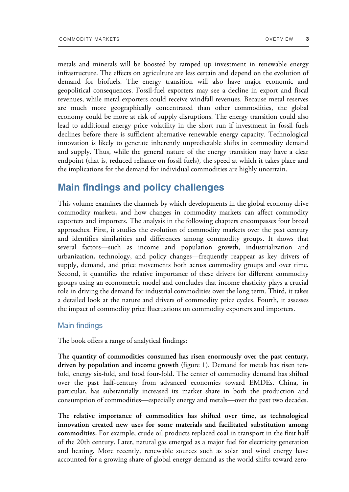metals and minerals will be boosted by ramped up investment in renewable energy infrastructure. The effects on agriculture are less certain and depend on the evolution of demand for biofuels. The energy transition will also have major economic and geopolitical consequences. Fossil-fuel exporters may see a decline in export and fiscal revenues, while metal exporters could receive windfall revenues. Because metal reserves are much more geographically concentrated than other commodities, the global economy could be more at risk of supply disruptions. The energy transition could also lead to additional energy price volatility in the short run if investment in fossil fuels declines before there is sufficient alternative renewable energy capacity. Technological innovation is likely to generate inherently unpredictable shifts in commodity demand and supply. Thus, while the general nature of the energy transition may have a clear endpoint (that is, reduced reliance on fossil fuels), the speed at which it takes place and the implications for the demand for individual commodities are highly uncertain.

## **Main findings and policy challenges**

This volume examines the channels by which developments in the global economy drive commodity markets, and how changes in commodity markets can affect commodity exporters and importers. The analysis in the following chapters encompasses four broad approaches. First, it studies the evolution of commodity markets over the past century and identifies similarities and differences among commodity groups. It shows that several factors—such as income and population growth, industrialization and urbanization, technology, and policy changes—frequently reappear as key drivers of supply, demand, and price movements both across commodity groups and over time. Second, it quantifies the relative importance of these drivers for different commodity groups using an econometric model and concludes that income elasticity plays a crucial role in driving the demand for industrial commodities over the long term. Third, it takes a detailed look at the nature and drivers of commodity price cycles. Fourth, it assesses the impact of commodity price fluctuations on commodity exporters and importers.

## Main findings

The book offers a range of analytical findings:

**The quantity of commodities consumed has risen enormously over the past century, driven by population and income growth** (figure 1). Demand for metals has risen tenfold, energy six-fold, and food four-fold. The center of commodity demand has shifted over the past half-century from advanced economies toward EMDEs. China, in particular, has substantially increased its market share in both the production and consumption of commodities—especially energy and metals—over the past two decades.

**The relative importance of commodities has shifted over time, as technological innovation created new uses for some materials and facilitated substitution among commodities.** For example, crude oil products replaced coal in transport in the first half of the 20th century. Later, natural gas emerged as a major fuel for electricity generation and heating. More recently, renewable sources such as solar and wind energy have accounted for a growing share of global energy demand as the world shifts toward zero-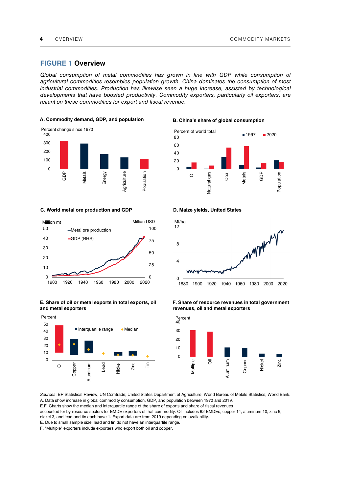## **FIGURE 1 Overview**

Global consumption of metal commodities has grown in line with GDP while consumption of *agricultural commodities resembles population growth. China dominates the consumption of most industrial commodities. Production has likewise seen a huge increase, assisted by technological developments that have boosted productivity. Commodity exporters, particularly oil exporters, are reliant on these commodities for export and fiscal revenue.* 



#### **C. World metal ore production and GDP D. Maize yields, United States**



### **E. Share of oil or metal exports in total exports, oil and metal exporters**



## A. Commodity demand, GDP, and population **B. China's share of global consumption**





#### **F. Share of resource revenues in total government revenues, oil and metal exporters**



*Sources*: BP Statistical Review; UN Comtrade; United States Department of Agriculture; World Bureau of Metals Statistics; World Bank. A. Data show increase in global commodity consumption, GDP, and population between 1970 and 2019.

E.F. Charts show the median and interquartile range of the share of exports and share of fiscal revenues

accounted for by resource sectors for EMDE exporters of that commodity. Oil includes 62 EMDEs, copper 14, aluminum 10, zinc 5, nickel 3, and lead and tin each have 1. Export data are from 2019 depending on availability.

E. Due to small sample size, lead and tin do not have an interquartile range.

F. "Multiple" exporters include exporters who export both oil and copper.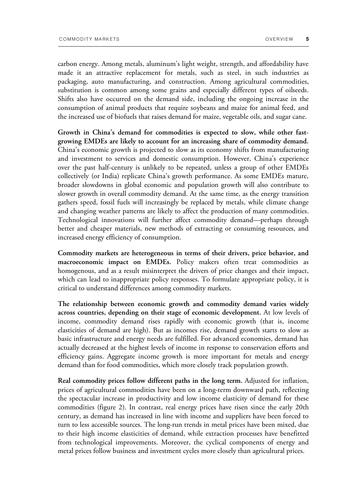carbon energy. Among metals, aluminum's light weight, strength, and affordability have made it an attractive replacement for metals, such as steel, in such industries as packaging, auto manufacturing, and construction. Among agricultural commodities, substitution is common among some grains and especially different types of oilseeds. Shifts also have occurred on the demand side, including the ongoing increase in the consumption of animal products that require soybeans and maize for animal feed, and the increased use of biofuels that raises demand for maize, vegetable oils, and sugar cane.

**Growth in China's demand for commodities is expected to slow, while other fastgrowing EMDEs are likely to account for an increasing share of commodity demand.** China's economic growth is projected to slow as its economy shifts from manufacturing and investment to services and domestic consumption. However, China's experience over the past half-century is unlikely to be repeated, unless a group of other EMDEs collectively (or India) replicate China's growth performance. As some EMDEs mature, broader slowdowns in global economic and population growth will also contribute to slower growth in overall commodity demand. At the same time, as the energy transition gathers speed, fossil fuels will increasingly be replaced by metals, while climate change and changing weather patterns are likely to affect the production of many commodities. Technological innovations will further affect commodity demand—perhaps through better and cheaper materials, new methods of extracting or consuming resources, and increased energy efficiency of consumption.

**Commodity markets are heterogeneous in terms of their drivers, price behavior, and macroeconomic impact on EMDEs.** Policy makers often treat commodities as homogenous, and as a result misinterpret the drivers of price changes and their impact, which can lead to inappropriate policy responses. To formulate appropriate policy, it is critical to understand differences among commodity markets.

**The relationship between economic growth and commodity demand varies widely across countries, depending on their stage of economic development.** At low levels of income, commodity demand rises rapidly with economic growth (that is, income elasticities of demand are high). But as incomes rise, demand growth starts to slow as basic infrastructure and energy needs are fulfilled. For advanced economies, demand has actually decreased at the highest levels of income in response to conservation efforts and efficiency gains. Aggregate income growth is more important for metals and energy demand than for food commodities, which more closely track population growth.

**Real commodity prices follow different paths in the long term.** Adjusted for inflation, prices of agricultural commodities have been on a long-term downward path, reflecting the spectacular increase in productivity and low income elasticity of demand for these commodities (figure 2). In contrast, real energy prices have risen since the early 20th century, as demand has increased in line with income and suppliers have been forced to turn to less accessible sources. The long-run trends in metal prices have been mixed, due to their high income elasticities of demand, while extraction processes have benefitted from technological improvements. Moreover, the cyclical components of energy and metal prices follow business and investment cycles more closely than agricultural prices.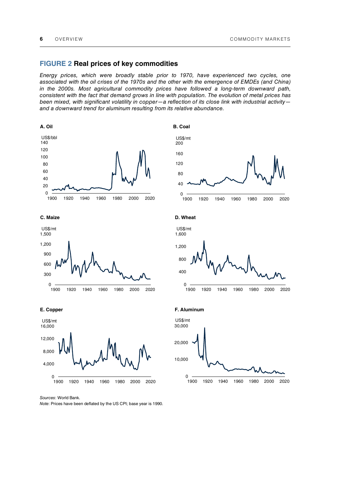## **FIGURE 2 Real prices of key commodities**

*Energy prices, which were broadly stable prior to 1970, have experienced two cycles, one associated with the oil crises of the 1970s and the other with the emergence of EMDEs (and China) in the 2000s. Most agricultural commodity prices have followed a long-term downward path, consistent with the fact that demand grows in line with population. The evolution of metal prices has been mixed, with significant volatility in copper—a reflection of its close link with industrial activity and a downward trend for aluminum resulting from its relative abundance.* 















*Note*: Prices have been deflated by the US CPI; base year is 1990.









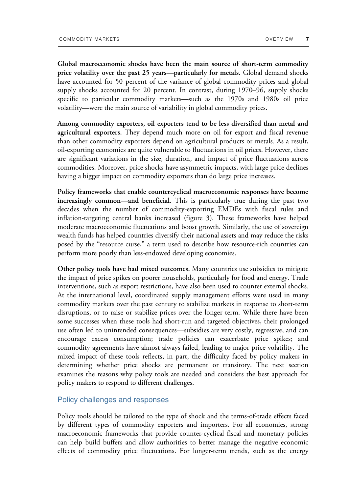**Global macroeconomic shocks have been the main source of short-term commodity price volatility over the past 25 years—particularly for metals**. Global demand shocks have accounted for 50 percent of the variance of global commodity prices and global supply shocks accounted for 20 percent. In contrast, during 1970–96, supply shocks specific to particular commodity markets—such as the 1970s and 1980s oil price volatility—were the main source of variability in global commodity prices.

**Among commodity exporters, oil exporters tend to be less diversified than metal and agricultural exporters.** They depend much more on oil for export and fiscal revenue than other commodity exporters depend on agricultural products or metals. As a result, oil-exporting economies are quite vulnerable to fluctuations in oil prices. However, there are significant variations in the size, duration, and impact of price fluctuations across commodities. Moreover, price shocks have asymmetric impacts, with large price declines having a bigger impact on commodity exporters than do large price increases.

**Policy frameworks that enable countercyclical macroeconomic responses have become increasingly common—and beneficial**. This is particularly true during the past two decades when the number of commodity-exporting EMDEs with fiscal rules and inflation-targeting central banks increased (figure 3). These frameworks have helped moderate macroeconomic fluctuations and boost growth. Similarly, the use of sovereign wealth funds has helped countries diversify their national assets and may reduce the risks posed by the "resource curse," a term used to describe how resource-rich countries can perform more poorly than less-endowed developing economies.

**Other policy tools have had mixed outcomes.** Many countries use subsidies to mitigate the impact of price spikes on poorer households, particularly for food and energy. Trade interventions, such as export restrictions, have also been used to counter external shocks. At the international level, coordinated supply management efforts were used in many commodity markets over the past century to stabilize markets in response to short-term disruptions, or to raise or stabilize prices over the longer term. While there have been some successes when these tools had short-run and targeted objectives, their prolonged use often led to unintended consequences—subsidies are very costly, regressive, and can encourage excess consumption; trade policies can exacerbate price spikes; and commodity agreements have almost always failed, leading to major price volatility. The mixed impact of these tools reflects, in part, the difficulty faced by policy makers in determining whether price shocks are permanent or transitory. The next section examines the reasons why policy tools are needed and considers the best approach for policy makers to respond to different challenges.

## Policy challenges and responses

Policy tools should be tailored to the type of shock and the terms-of-trade effects faced by different types of commodity exporters and importers. For all economies, strong macroeconomic frameworks that provide counter-cyclical fiscal and monetary policies can help build buffers and allow authorities to better manage the negative economic effects of commodity price fluctuations. For longer-term trends, such as the energy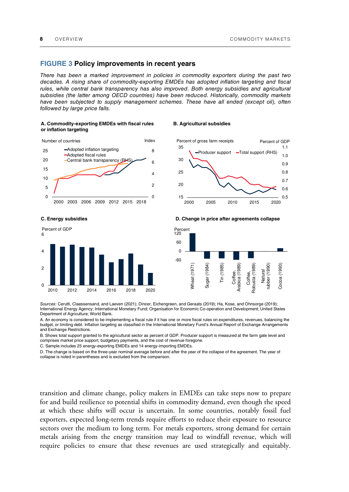### **FIGURE 3 Policy improvements in recent years**

*There has been a marked improvement in policies in commodity exporters during the past two decades. A rising share of commodity-exporting EMDEs has adopted inflation targeting and fiscal rules, while central bank transparency has also improved. Both energy subsidies and agricultural subsidies (the latter among OECD countries) have been reduced. Historically, commodity markets*  have been subjected to supply management schemes. These have all ended (except oil), often *followed by large price falls.* 

#### A. Commodity-exporting EMDEs with fiscal rules **B. Agricultural subsidies or inflation targeting**









**[C. Energy subsidies D. Change in price after agreements collapse](https://thedocs.worldbank.org/en/doc/b4ff84b2d5dc4d0963a5074102460cc1-0350012022/related/Commodity-Markets-Overview-charts.xlsx)** 



*Sources*: Cerutti, Claessensand, and Laeven (2021); Dincer, Eichengreen, and Geraats (2019); Ha, Kose, and Ohnsorge (2019); International Energy Agency; International Monetary Fund; Organisation for Economic Co-operation and Development; United States Department of Agriculture; World Bank.

A. An economy is considered to be implementing a fiscal rule if it has one or more fiscal rules on expenditures, revenues, balancing the budget, or limiting debt. Inflation targeting as classified in the International Monetary Fund's Annual Report of Exchange Arrangements and Exchange Restrictions.

B. Shows total support granted to the agricultural sector as percent of GDP. Producer support is measured at the farm gate level and comprises market price support, budgetary payments, and the cost of revenue foregone.

C. Sample includes 25 energy-exporting EMDEs and 14 energy-importing EMDEs.

D. The change is based on the three-year nominal average before and after the year of the collapse of the agreement. The year of collapse is noted in parentheses and is excluded from the comparison.

transition and climate change, policy makers in EMDEs can take steps now to prepare for and build resilience to potential shifts in commodity demand, even though the speed at which these shifts will occur is uncertain. In some countries, notably fossil fuel exporters, expected long-term trends require efforts to reduce their exposure to resource sectors over the medium to long term. For metals exporters, strong demand for certain metals arising from the energy transition may lead to windfall revenue, which will require policies to ensure that these revenues are used strategically and equitably.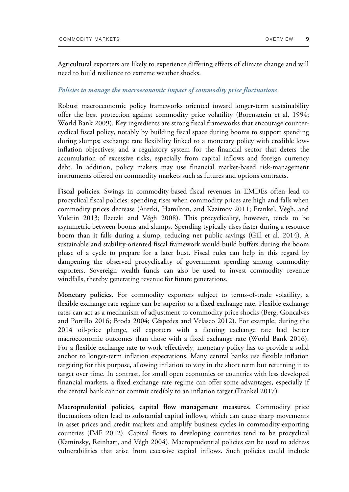Agricultural exporters are likely to experience differing effects of climate change and will need to build resilience to extreme weather shocks.

## *Policies to manage the macroeconomic impact of commodity price fluctuations*

Robust macroeconomic policy frameworks oriented toward longer-term sustainability offer the best protection against commodity price volatility (Borensztein et al. 1994; World Bank 2009). Key ingredients are strong fiscal frameworks that encourage countercyclical fiscal policy, notably by building fiscal space during booms to support spending during slumps; exchange rate flexibility linked to a monetary policy with credible lowinflation objectives; and a regulatory system for the financial sector that deters the accumulation of excessive risks, especially from capital inflows and foreign currency debt. In addition, policy makers may use financial market-based risk-management instruments offered on commodity markets such as futures and options contracts.

**Fiscal policies.** Swings in commodity-based fiscal revenues in EMDEs often lead to procyclical fiscal policies: spending rises when commodity prices are high and falls when commodity prices decrease (Arezki, Hamilton, and Kazimov 2011; Frankel, Végh, and Vuletin 2013; Ilzetzki and Végh 2008). This procyclicality, however, tends to be asymmetric between booms and slumps. Spending typically rises faster during a resource boom than it falls during a slump, reducing net public savings (Gill et al. 2014). A sustainable and stability-oriented fiscal framework would build buffers during the boom phase of a cycle to prepare for a later bust. Fiscal rules can help in this regard by dampening the observed procyclicality of government spending among commodity exporters. Sovereign wealth funds can also be used to invest commodity revenue windfalls, thereby generating revenue for future generations.

**Monetary policies.** For commodity exporters subject to terms-of-trade volatility, a flexible exchange rate regime can be superior to a fixed exchange rate. Flexible exchange rates can act as a mechanism of adjustment to commodity price shocks (Berg, Goncalves and Portillo 2016; Broda 2004; Céspedes and Velasco 2012). For example, during the 2014 oil-price plunge, oil exporters with a floating exchange rate had better macroeconomic outcomes than those with a fixed exchange rate (World Bank 2016). For a flexible exchange rate to work effectively, monetary policy has to provide a solid anchor to longer-term inflation expectations. Many central banks use flexible inflation targeting for this purpose, allowing inflation to vary in the short term but returning it to target over time. In contrast, for small open economies or countries with less developed financial markets, a fixed exchange rate regime can offer some advantages, especially if the central bank cannot commit credibly to an inflation target (Frankel 2017).

**Macroprudential policies, capital flow management measures.** Commodity price fluctuations often lead to substantial capital inflows, which can cause sharp movements in asset prices and credit markets and amplify business cycles in commodity-exporting countries (IMF 2012). Capital flows to developing countries tend to be procyclical (Kaminsky, Reinhart, and Végh 2004). Macroprudential policies can be used to address vulnerabilities that arise from excessive capital inflows. Such policies could include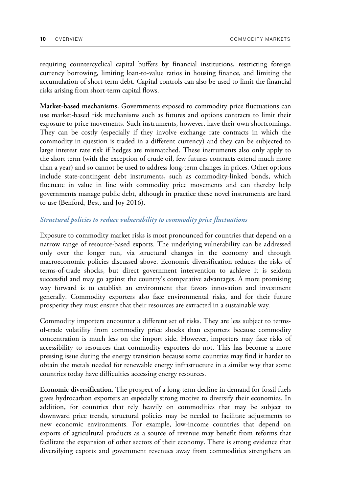requiring countercyclical capital buffers by financial institutions, restricting foreign currency borrowing, limiting loan-to-value ratios in housing finance, and limiting the accumulation of short-term debt. Capital controls can also be used to limit the financial risks arising from short-term capital flows.

**Market-based mechanisms.** Governments exposed to commodity price fluctuations can use market-based risk mechanisms such as futures and options contracts to limit their exposure to price movements. Such instruments, however, have their own shortcomings. They can be costly (especially if they involve exchange rate contracts in which the commodity in question is traded in a different currency) and they can be subjected to large interest rate risk if hedges are mismatched. These instruments also only apply to the short term (with the exception of crude oil, few futures contracts extend much more than a year) and so cannot be used to address long-term changes in prices. Other options include state-contingent debt instruments, such as commodity-linked bonds, which fluctuate in value in line with commodity price movements and can thereby help governments manage public debt, although in practice these novel instruments are hard to use (Benford, Best, and Joy 2016).

## *Structural policies to reduce vulnerability to commodity price fluctuations*

Exposure to commodity market risks is most pronounced for countries that depend on a narrow range of resource-based exports. The underlying vulnerability can be addressed only over the longer run, via structural changes in the economy and through macroeconomic policies discussed above. Economic diversification reduces the risks of terms-of-trade shocks, but direct government intervention to achieve it is seldom successful and may go against the country's comparative advantages. A more promising way forward is to establish an environment that favors innovation and investment generally. Commodity exporters also face environmental risks, and for their future prosperity they must ensure that their resources are extracted in a sustainable way.

Commodity importers encounter a different set of risks. They are less subject to termsof-trade volatility from commodity price shocks than exporters because commodity concentration is much less on the import side. However, importers may face risks of accessibility to resources that commodity exporters do not. This has become a more pressing issue during the energy transition because some countries may find it harder to obtain the metals needed for renewable energy infrastructure in a similar way that some countries today have difficulties accessing energy resources.

**Economic diversification**. The prospect of a long-term decline in demand for fossil fuels gives hydrocarbon exporters an especially strong motive to diversify their economies. In addition, for countries that rely heavily on commodities that may be subject to downward price trends, structural policies may be needed to facilitate adjustments to new economic environments. For example, low-income countries that depend on exports of agricultural products as a source of revenue may benefit from reforms that facilitate the expansion of other sectors of their economy. There is strong evidence that diversifying exports and government revenues away from commodities strengthens an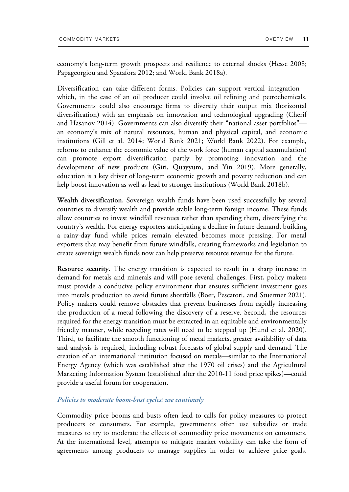economy's long-term growth prospects and resilience to external shocks (Hesse 2008; Papageorgiou and Spatafora 2012; and World Bank 2018a).

Diversification can take different forms. Policies can support vertical integration which, in the case of an oil producer could involve oil refining and petrochemicals. Governments could also encourage firms to diversify their output mix (horizontal diversification) with an emphasis on innovation and technological upgrading (Cherif and Hasanov 2014). Governments can also diversify their "national asset portfolios" an economy's mix of natural resources, human and physical capital, and economic institutions (Gill et al. 2014; World Bank 2021; World Bank 2022). For example, reforms to enhance the economic value of the work force (human capital accumulation) can promote export diversification partly by promoting innovation and the development of new products (Giri, Quayyum, and Yin 2019). More generally, education is a key driver of long-term economic growth and poverty reduction and can help boost innovation as well as lead to stronger institutions (World Bank 2018b).

**Wealth diversification.** Sovereign wealth funds have been used successfully by several countries to diversify wealth and provide stable long-term foreign income. These funds allow countries to invest windfall revenues rather than spending them, diversifying the country's wealth. For energy exporters anticipating a decline in future demand, building a rainy-day fund while prices remain elevated becomes more pressing. For metal exporters that may benefit from future windfalls, creating frameworks and legislation to create sovereign wealth funds now can help preserve resource revenue for the future.

**Resource security.** The energy transition is expected to result in a sharp increase in demand for metals and minerals and will pose several challenges. First, policy makers must provide a conducive policy environment that ensures sufficient investment goes into metals production to avoid future shortfalls (Boer, Pescatori, and Stuermer 2021). Policy makers could remove obstacles that prevent businesses from rapidly increasing the production of a metal following the discovery of a reserve. Second, the resources required for the energy transition must be extracted in an equitable and environmentally friendly manner, while recycling rates will need to be stepped up (Hund et al. 2020). Third, to facilitate the smooth functioning of metal markets, greater availability of data and analysis is required, including robust forecasts of global supply and demand. The creation of an international institution focused on metals—similar to the International Energy Agency (which was established after the 1970 oil crises) and the Agricultural Marketing Information System (established after the 2010-11 food price spikes)—could provide a useful forum for cooperation.

## *Policies to moderate boom-bust cycles: use cautiously*

Commodity price booms and busts often lead to calls for policy measures to protect producers or consumers. For example, governments often use subsidies or trade measures to try to moderate the effects of commodity price movements on consumers. At the international level, attempts to mitigate market volatility can take the form of agreements among producers to manage supplies in order to achieve price goals.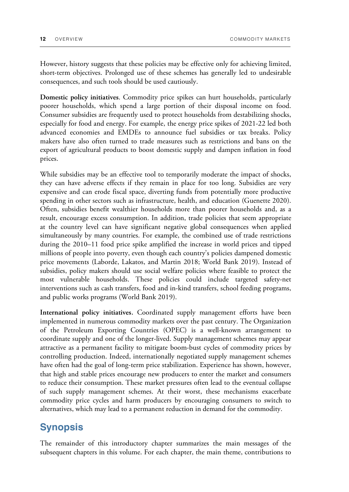However, history suggests that these policies may be effective only for achieving limited, short-term objectives. Prolonged use of these schemes has generally led to undesirable consequences, and such tools should be used cautiously.

**Domestic policy initiatives**. Commodity price spikes can hurt households, particularly poorer households, which spend a large portion of their disposal income on food. Consumer subsidies are frequently used to protect households from destabilizing shocks, especially for food and energy. For example, the energy price spikes of 2021-22 led both advanced economies and EMDEs to announce fuel subsidies or tax breaks. Policy makers have also often turned to trade measures such as restrictions and bans on the export of agricultural products to boost domestic supply and dampen inflation in food prices.

While subsidies may be an effective tool to temporarily moderate the impact of shocks, they can have adverse effects if they remain in place for too long. Subsidies are very expensive and can erode fiscal space, diverting funds from potentially more productive spending in other sectors such as infrastructure, health, and education (Guenette 2020). Often, subsidies benefit wealthier households more than poorer households and, as a result, encourage excess consumption. In addition, trade policies that seem appropriate at the country level can have significant negative global consequences when applied simultaneously by many countries. For example, the combined use of trade restrictions during the 2010–11 food price spike amplified the increase in world prices and tipped millions of people into poverty, even though each country's policies dampened domestic price movements (Laborde, Lakatos, and Martin 2018; World Bank 2019). Instead of subsidies, policy makers should use social welfare policies where feasible to protect the most vulnerable households. These policies could include targeted safety-net interventions such as cash transfers, food and in-kind transfers, school feeding programs, and public works programs (World Bank 2019).

**International policy initiatives.** Coordinated supply management efforts have been implemented in numerous commodity markets over the past century. The Organization of the Petroleum Exporting Countries (OPEC) is a well-known arrangement to coordinate supply and one of the longer-lived. Supply management schemes may appear attractive as a permanent facility to mitigate boom-bust cycles of commodity prices by controlling production. Indeed, internationally negotiated supply management schemes have often had the goal of long-term price stabilization. Experience has shown, however, that high and stable prices encourage new producers to enter the market and consumers to reduce their consumption. These market pressures often lead to the eventual collapse of such supply management schemes. At their worst, these mechanisms exacerbate commodity price cycles and harm producers by encouraging consumers to switch to alternatives, which may lead to a permanent reduction in demand for the commodity.

## **Synopsis**

The remainder of this introductory chapter summarizes the main messages of the subsequent chapters in this volume. For each chapter, the main theme, contributions to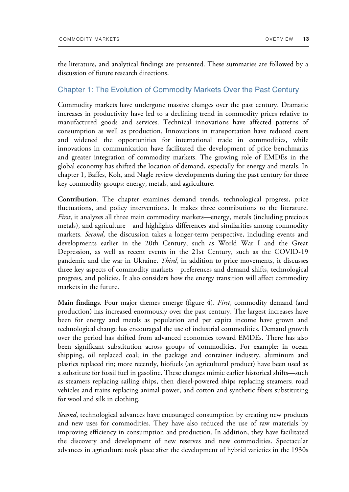the literature, and analytical findings are presented. These summaries are followed by a discussion of future research directions.

## Chapter 1: The Evolution of Commodity Markets Over the Past Century

Commodity markets have undergone massive changes over the past century. Dramatic increases in productivity have led to a declining trend in commodity prices relative to manufactured goods and services. Technical innovations have affected patterns of consumption as well as production. Innovations in transportation have reduced costs and widened the opportunities for international trade in commodities, while innovations in communication have facilitated the development of price benchmarks and greater integration of commodity markets. The growing role of EMDEs in the global economy has shifted the location of demand, especially for energy and metals. In chapter 1, Baffes, Koh, and Nagle review developments during the past century for three key commodity groups: energy, metals, and agriculture.

**Contribution**. The chapter examines demand trends, technological progress, price fluctuations, and policy interventions. It makes three contributions to the literature. *First*, it analyzes all three main commodity markets—energy, metals (including precious metals), and agriculture—and highlights differences and similarities among commodity markets. *Second*, the discussion takes a longer-term perspective, including events and developments earlier in the 20th Century, such as World War I and the Great Depression, as well as recent events in the 21st Century, such as the COVID-19 pandemic and the war in Ukraine. *Third*, in addition to price movements, it discusses three key aspects of commodity markets—preferences and demand shifts, technological progress, and policies. It also considers how the energy transition will affect commodity markets in the future.

**Main findings**. Four major themes emerge (figure 4). *First*, commodity demand (and production) has increased enormously over the past century. The largest increases have been for energy and metals as population and per capita income have grown and technological change has encouraged the use of industrial commodities. Demand growth over the period has shifted from advanced economies toward EMDEs. There has also been significant substitution across groups of commodities. For example: in ocean shipping, oil replaced coal; in the package and container industry, aluminum and plastics replaced tin; more recently, biofuels (an agricultural product) have been used as a substitute for fossil fuel in gasoline. These changes mimic earlier historical shifts—such as steamers replacing sailing ships, then diesel-powered ships replacing steamers; road vehicles and trains replacing animal power, and cotton and synthetic fibers substituting for wool and silk in clothing.

*Second*, technological advances have encouraged consumption by creating new products and new uses for commodities. They have also reduced the use of raw materials by improving efficiency in consumption and production. In addition, they have facilitated the discovery and development of new reserves and new commodities. Spectacular advances in agriculture took place after the development of hybrid varieties in the 1930s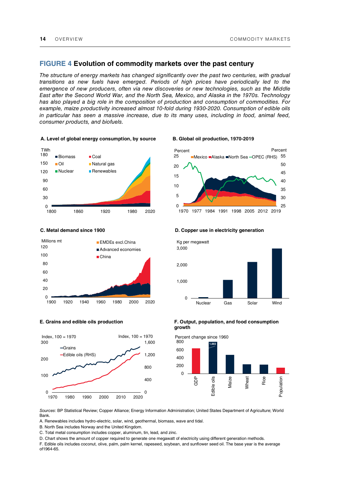## **FIGURE 4 Evolution of commodity markets over the past century**

*The structure of energy markets has changed significantly over the past two centuries, with gradual transitions as new fuels have emerged. Periods of high prices have periodically led to the emergence of new producers, often via new discoveries or new technologies, such as the Middle East after the Second World War, and the North Sea, Mexico, and Alaska in the 1970s. Technology has also played a big role in the composition of production and consumption of commodities. For example, maize productivity increased almost 10-fold during 1930-2020. Consumption of edible oils in particular has seen a massive increase, due to its many uses, including in food, animal feed, consumer products, and biofuels.* 



**A. Level of global energy consumption, by source B. Global oil production, 1970-2019** 









### **[C. Metal demand since 1900 D. Copper use in electricity generation](https://thedocs.worldbank.org/en/doc/b4ff84b2d5dc4d0963a5074102460cc1-0350012022/related/Commodity-Markets-Overview-charts.xlsx)**



**F. Output, population, and food consumption growth** 



*Sources*: BP Statistical Review; Copper Alliance; Energy Information Administration; United States Department of Agriculture; World Bank.

A. Renewables includes hydro-electric, solar, wind, geothermal, biomass, wave and tidal.

B. North Sea includes Norway and the United Kingdom.

C. Total metal consumption includes copper, aluminum, tin, lead, and zinc.

D. Chart shows the amount of copper required to generate one megawatt of electricity using different generation methods.

F. Edible oils includes coconut, olive, palm, palm kernel, rapeseed, soybean, and sunflower seed oil. The base year is the average of1964-65.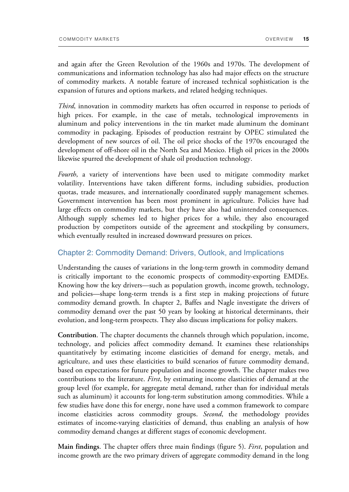and again after the Green Revolution of the 1960s and 1970s. The development of communications and information technology has also had major effects on the structure of commodity markets. A notable feature of increased technical sophistication is the expansion of futures and options markets, and related hedging techniques.

*Third*, innovation in commodity markets has often occurred in response to periods of high prices. For example, in the case of metals, technological improvements in aluminum and policy interventions in the tin market made aluminum the dominant commodity in packaging. Episodes of production restraint by OPEC stimulated the development of new sources of oil. The oil price shocks of the 1970s encouraged the development of off-shore oil in the North Sea and Mexico. High oil prices in the 2000s likewise spurred the development of shale oil production technology.

*Fourth*, a variety of interventions have been used to mitigate commodity market volatility. Interventions have taken different forms, including subsidies, production quotas, trade measures, and internationally coordinated supply management schemes. Government intervention has been most prominent in agriculture. Policies have had large effects on commodity markets, but they have also had unintended consequences. Although supply schemes led to higher prices for a while, they also encouraged production by competitors outside of the agreement and stockpiling by consumers, which eventually resulted in increased downward pressures on prices.

## Chapter 2: Commodity Demand: Drivers, Outlook, and Implications

Understanding the causes of variations in the long-term growth in commodity demand is critically important to the economic prospects of commodity-exporting EMDEs. Knowing how the key drivers—such as population growth, income growth, technology, and policies—shape long-term trends is a first step in making projections of future commodity demand growth. In chapter 2, Baffes and Nagle investigate the drivers of commodity demand over the past 50 years by looking at historical determinants, their evolution, and long-term prospects. They also discuss implications for policy makers.

**Contribution**. The chapter documents the channels through which population, income, technology, and policies affect commodity demand. It examines these relationships quantitatively by estimating income elasticities of demand for energy, metals, and agriculture, and uses these elasticities to build scenarios of future commodity demand, based on expectations for future population and income growth. The chapter makes two contributions to the literature. *First*, by estimating income elasticities of demand at the group level (for example, for aggregate metal demand, rather than for individual metals such as aluminum) it accounts for long-term substitution among commodities. While a few studies have done this for energy, none have used a common framework to compare income elasticities across commodity groups. *Second*, the methodology provides estimates of income-varying elasticities of demand, thus enabling an analysis of how commodity demand changes at different stages of economic development.

**Main findings**. The chapter offers three main findings (figure 5). *First*, population and income growth are the two primary drivers of aggregate commodity demand in the long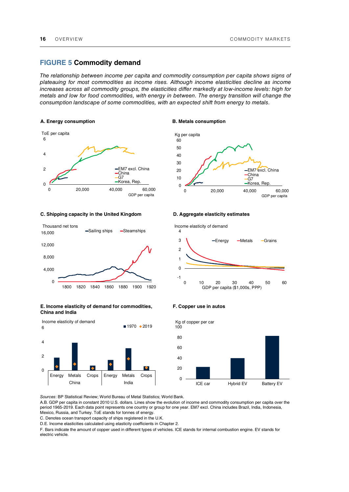## **FIGURE 5 Commodity demand**

*The relationship between income per capita and commodity consumption per capita shows signs of plateauing for most commodities as income rises. Although income elasticities decline as income increases across all commodity groups, the elasticities differ markedly at low-income levels: high for metals and low for food commodities, with energy in between. The energy transition will change the consumption landscape of some commodities, with an expected shift from energy to metals.* 

### A. Energy consumption **B. Metals consumption**



### **C. Shipping capacity in the United Kingdom**  D. Aggregate elasticity estimates



#### **E. Income elasticity of demand for commodities, F. Copper use in autos China and India**





Income elasticity of demand





*Sources*: BP Statistical Review; World Bureau of Metal Statistics; World Bank.

A.B. GDP per capita in constant 2010 U.S. dollars. Lines show the evolution of income and commodity consumption per capita over the period 1965-2019. Each data point represents one country or group for one year. EM7 excl. China includes Brazil, India, Indonesia, Mexico, Russia, and Turkey. ToE stands for tonnes of energy.

C. Denotes ocean transport capacity of ships registered in the U.K.

D.E. Income elasticities calculated using elasticity coefficients in Chapter 2.

F. Bars indicate the amount of copper used in different types of vehicles. ICE stands for internal combustion engine. EV stands for electric vehicle.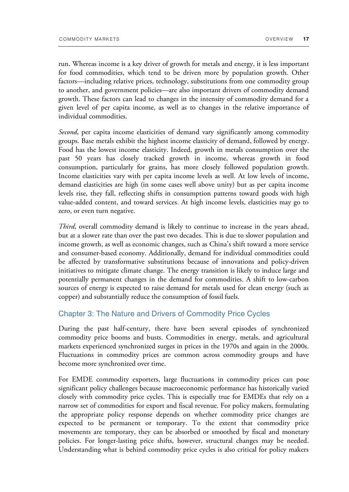run. Whereas income is a key driver of growth for metals and energy, it is less important for food commodities, which tend to be driven more by population growth. Other factors—including relative prices, technology, substitutions from one commodity group to another, and government policies—are also important drivers of commodity demand growth. These factors can lead to changes in the intensity of commodity demand for a given level of per capita income, as well as to changes in the relative importance of individual commodities.

*Second*, per capita income elasticities of demand vary significantly among commodity groups. Base metals exhibit the highest income elasticity of demand, followed by energy. Food has the lowest income elasticity. Indeed, growth in metals consumption over the past 50 years has closely tracked growth in income, whereas growth in food consumption, particularly for grains, has more closely followed population growth. Income elasticities vary with per capita income levels as well. At low levels of income, demand elasticities are high (in some cases well above unity) but as per capita income levels rise, they fall, reflecting shifts in consumption patterns toward goods with high value-added content, and toward services. At high income levels, elasticities may go to zero, or even turn negative.

*Third*, overall commodity demand is likely to continue to increase in the years ahead, but at a slower rate than over the past two decades. This is due to slower population and income growth, as well as economic changes, such as China's shift toward a more service and consumer-based economy. Additionally, demand for individual commodities could be affected by transformative substitutions because of innovations and policy-driven initiatives to mitigate climate change. The energy transition is likely to induce large and potentially permanent changes in the demand for commodities. A shift to low-carbon sources of energy is expected to raise demand for metals used for clean energy (such as copper) and substantially reduce the consumption of fossil fuels.

## Chapter 3: The Nature and Drivers of Commodity Price Cycles

During the past half-century, there have been several episodes of synchronized commodity price booms and busts. Commodities in energy, metals, and agricultural markets experienced synchronized surges in prices in the 1970s and again in the 2000s. Fluctuations in commodity prices are common across commodity groups and have become more synchronized over time.

For EMDE commodity exporters, large fluctuations in commodity prices can pose significant policy challenges because macroeconomic performance has historically varied closely with commodity price cycles. This is especially true for EMDEs that rely on a narrow set of commodities for export and fiscal revenue. For policy makers, formulating the appropriate policy response depends on whether commodity price changes are expected to be permanent or temporary. To the extent that commodity price movements are temporary, they can be absorbed or smoothed by fiscal and monetary policies. For longer-lasting price shifts, however, structural changes may be needed. Understanding what is behind commodity price cycles is also critical for policy makers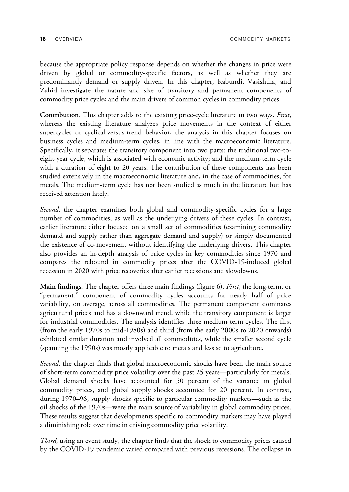because the appropriate policy response depends on whether the changes in price were driven by global or commodity-specific factors, as well as whether they are predominantly demand or supply driven. In this chapter, Kabundi, Vasishtha, and Zahid investigate the nature and size of transitory and permanent components of commodity price cycles and the main drivers of common cycles in commodity prices.

**Contribution**. This chapter adds to the existing price-cycle literature in two ways. *First*, whereas the existing literature analyzes price movements in the context of either supercycles or cyclical-versus-trend behavior, the analysis in this chapter focuses on business cycles and medium-term cycles, in line with the macroeconomic literature. Specifically, it separates the transitory component into two parts: the traditional two-toeight-year cycle, which is associated with economic activity; and the medium-term cycle with a duration of eight to 20 years. The contribution of these components has been studied extensively in the macroeconomic literature and, in the case of commodities, for metals. The medium-term cycle has not been studied as much in the literature but has received attention lately.

*Second*, the chapter examines both global and commodity-specific cycles for a large number of commodities, as well as the underlying drivers of these cycles. In contrast, earlier literature either focused on a small set of commodities (examining commodity demand and supply rather than aggregate demand and supply) or simply documented the existence of co-movement without identifying the underlying drivers. This chapter also provides an in-depth analysis of price cycles in key commodities since 1970 and compares the rebound in commodity prices after the COVID-19-induced global recession in 2020 with price recoveries after earlier recessions and slowdowns.

**Main findings**. The chapter offers three main findings (figure 6). *First*, the long-term, or "permanent," component of commodity cycles accounts for nearly half of price variability, on average, across all commodities. The permanent component dominates agricultural prices and has a downward trend, while the transitory component is larger for industrial commodities. The analysis identifies three medium-term cycles. The first (from the early 1970s to mid-1980s) and third (from the early 2000s to 2020 onwards) exhibited similar duration and involved all commodities, while the smaller second cycle (spanning the 1990s) was mostly applicable to metals and less so to agriculture.

*Second*, the chapter finds that global macroeconomic shocks have been the main source of short-term commodity price volatility over the past 25 years—particularly for metals. Global demand shocks have accounted for 50 percent of the variance in global commodity prices, and global supply shocks accounted for 20 percent. In contrast, during 1970–96, supply shocks specific to particular commodity markets—such as the oil shocks of the 1970s—were the main source of variability in global commodity prices. These results suggest that developments specific to commodity markets may have played a diminishing role over time in driving commodity price volatility.

*Third,* using an event study, the chapter finds that the shock to commodity prices caused by the COVID-19 pandemic varied compared with previous recessions. The collapse in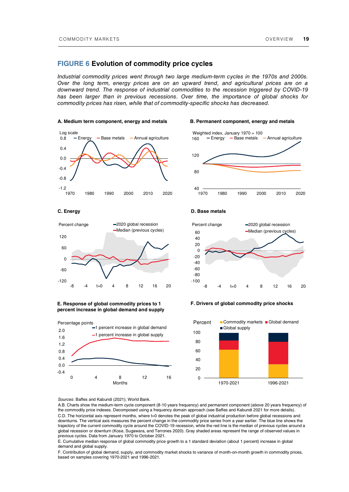## **FIGURE 6 Evolution of commodity price cycles**

*Industrial commodity prices went through two large medium-term cycles in the 1970s and 2000s. Over the long term, energy prices are on an upward trend, and agricultural prices are on a downward trend. The response of industrial commodities to the recession triggered by COVID-19 has been larger than in previous recessions. Over time, the importance of global shocks for commodity prices has risen, while that of commodity-specific shocks has decreased.* 

### **A. Medium term component, energy and metals B. Permanent component, energy and metals**





**C. Energy** D. Base metals



**[E. Response of global commodity prices to 1 F. Drivers of global commodity price shocks](https://thedocs.worldbank.org/en/doc/b4ff84b2d5dc4d0963a5074102460cc1-0350012022/related/Commodity-Markets-Overview-charts.xlsx)  percent increase in global demand and supply** 









#### *Sources*: Baffes and Kabundi (2021); World Bank.

A.B. Charts show the medium-term cycle component (8-10 years frequency) and permanent component (above 20 years frequency) of the commodity price indexes. Decomposed using a frequency domain approach (see Baffes and Kabundi 2021 for more details). C.D. The horizontal axis represent months, where t=0 denotes the peak of global industrial production before global recessions and downturns. The vertical axis measures the percent change in the commodity price series from a year earlier. The blue line shows the trajectory of the current commodity cycle around the COVID-19 recession, while the red line is the median of previous cycles around a global recession or downturn (Kose, Sugawara, and Terrones 2020). Gray shaded areas represent the range of observed values in previous cycles. Data from January 1970 to October 2021.

E. Cumulative median response of global commodity price growth to a 1 standard deviation (about 1 percent) increase in global demand and global supply.

F. Contribution of global demand, supply, and commodity market shocks to variance of month-on-month growth in commodity prices, based on samples covering 1970-2021 and 1996-2021.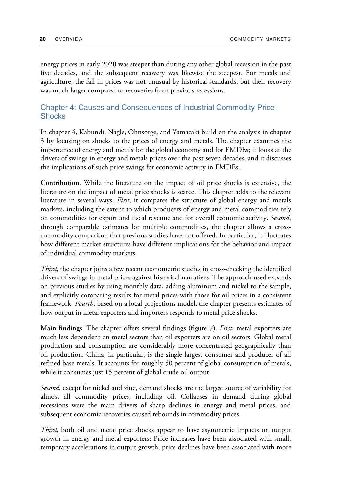energy prices in early 2020 was steeper than during any other global recession in the past five decades, and the subsequent recovery was likewise the steepest. For metals and agriculture, the fall in prices was not unusual by historical standards, but their recovery was much larger compared to recoveries from previous recessions.

## Chapter 4: Causes and Consequences of Industrial Commodity Price **Shocks**

In chapter 4, Kabundi, Nagle, Ohnsorge, and Yamazaki build on the analysis in chapter 3 by focusing on shocks to the prices of energy and metals. The chapter examines the importance of energy and metals for the global economy and for EMDEs; it looks at the drivers of swings in energy and metals prices over the past seven decades, and it discusses the implications of such price swings for economic activity in EMDEs.

**Contribution**. While the literature on the impact of oil price shocks is extensive, the literature on the impact of metal price shocks is scarce. This chapter adds to the relevant literature in several ways. *First*, it compares the structure of global energy and metals markets, including the extent to which producers of energy and metal commodities rely on commodities for export and fiscal revenue and for overall economic activity. *Second*, through comparable estimates for multiple commodities, the chapter allows a crosscommodity comparison that previous studies have not offered. In particular, it illustrates how different market structures have different implications for the behavior and impact of individual commodity markets.

*Third*, the chapter joins a few recent econometric studies in cross-checking the identified drivers of swings in metal prices against historical narratives. The approach used expands on previous studies by using monthly data, adding aluminum and nickel to the sample, and explicitly comparing results for metal prices with those for oil prices in a consistent framework. *Fourth*, based on a local projections model, the chapter presents estimates of how output in metal exporters and importers responds to metal price shocks.

**Main findings**. The chapter offers several findings (figure 7). *First*, metal exporters are much less dependent on metal sectors than oil exporters are on oil sectors. Global metal production and consumption are considerably more concentrated geographically than oil production. China, in particular, is the single largest consumer and producer of all refined base metals. It accounts for roughly 50 percent of global consumption of metals, while it consumes just 15 percent of global crude oil output.

*Second*, except for nickel and zinc, demand shocks are the largest source of variability for almost all commodity prices, including oil. Collapses in demand during global recessions were the main drivers of sharp declines in energy and metal prices, and subsequent economic recoveries caused rebounds in commodity prices.

*Third*, both oil and metal price shocks appear to have asymmetric impacts on output growth in energy and metal exporters: Price increases have been associated with small, temporary accelerations in output growth; price declines have been associated with more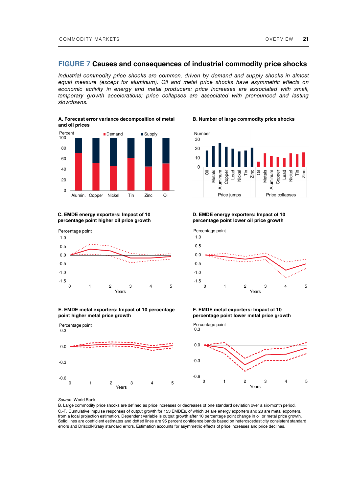## **FIGURE 7 Causes and consequences of industrial commodity price shocks**

*Industrial commodity price shocks are common, driven by demand and supply shocks in almost equal measure (except for aluminum). Oil and metal price shocks have asymmetric effects on*  economic activity in energy and metal producers: price increases are associated with small, temporary growth accelerations; price collapses are associated with pronounced and lasting *slowdowns.* 





### **C. EMDE energy exporters: Impact of 10 percentage point higher oil price growth**





#### **D. EMDE energy exporters: Impact of 10 percentage point lower oil price growth**



### **E. EMDE metal exporters: Impact of 10 percentage point higher metal price growth**



**F. EMDE metal exporters: Impact of 10 percentage point lower metal price growth** 



#### *Source*: World Bank.

B. Large commodity price shocks are defined as price increases or decreases of one standard deviation over a six-month period. C.-F. Cumulative impulse responses of output growth for 153 EMDEs, of which 34 are energy exporters and 28 are metal exporters, from a local projection estimation. Dependent variable is output growth after 10 percentage point change in oil or metal price growth. Solid lines are coefficient estimates and dotted lines are 95 percent confidence bands based on heteroscedasticity consistent standard errors and Driscoll-Kraay standard errors. Estimation accounts for asymmetric effects of price increases and price declines.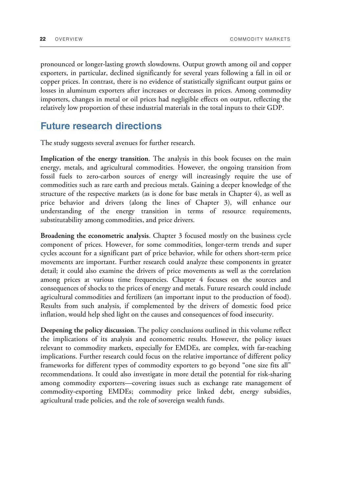pronounced or longer-lasting growth slowdowns. Output growth among oil and copper exporters, in particular, declined significantly for several years following a fall in oil or copper prices. In contrast, there is no evidence of statistically significant output gains or losses in aluminum exporters after increases or decreases in prices. Among commodity importers, changes in metal or oil prices had negligible effects on output, reflecting the relatively low proportion of these industrial materials in the total inputs to their GDP.

## **Future research directions**

The study suggests several avenues for further research.

**Implication of the energy transition**. The analysis in this book focuses on the main energy, metals, and agricultural commodities. However, the ongoing transition from fossil fuels to zero-carbon sources of energy will increasingly require the use of commodities such as rare earth and precious metals. Gaining a deeper knowledge of the structure of the respective markets (as is done for base metals in Chapter 4), as well as price behavior and drivers (along the lines of Chapter 3), will enhance our understanding of the energy transition in terms of resource requirements, substitutability among commodities, and price drivers.

**Broadening the econometric analysis**. Chapter 3 focused mostly on the business cycle component of prices. However, for some commodities, longer-term trends and super cycles account for a significant part of price behavior, while for others short-term price movements are important. Further research could analyze these components in greater detail; it could also examine the drivers of price movements as well as the correlation among prices at various time frequencies. Chapter 4 focuses on the sources and consequences of shocks to the prices of energy and metals. Future research could include agricultural commodities and fertilizers (an important input to the production of food). Results from such analysis, if complemented by the drivers of domestic food price inflation, would help shed light on the causes and consequences of food insecurity.

**Deepening the policy discussion**. The policy conclusions outlined in this volume reflect the implications of its analysis and econometric results. However, the policy issues relevant to commodity markets, especially for EMDEs, are complex, with far-reaching implications. Further research could focus on the relative importance of different policy frameworks for different types of commodity exporters to go beyond "one size fits all" recommendations. It could also investigate in more detail the potential for risk-sharing among commodity exporters—covering issues such as exchange rate management of commodity-exporting EMDEs; commodity price linked debt, energy subsidies, agricultural trade policies, and the role of sovereign wealth funds.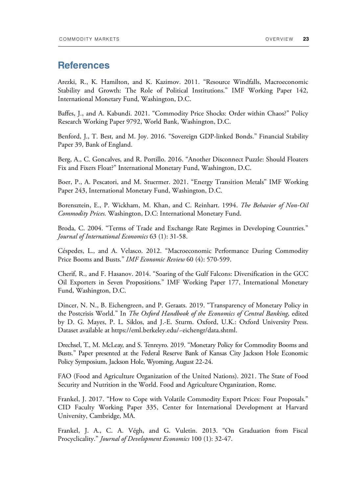## **References**

Arezki, R., K. Hamilton, and K. Kazimov. 2011. "Resource Windfalls, Macroeconomic Stability and Growth: The Role of Political Institutions." IMF Working Paper 142, International Monetary Fund, Washington, D.C.

Baffes, J., and A. Kabundi. 2021. "Commodity Price Shocks: Order within Chaos?" Policy Research Working Paper 9792, World Bank, Washington, D.C.

Benford, J., T. Best, and M. Joy. 2016. "Sovereign GDP-linked Bonds." Financial Stability Paper 39, Bank of England.

Berg, A., C. Goncalves, and R. Portillo. 2016. "Another Disconnect Puzzle: Should Floaters Fix and Fixers Float?" International Monetary Fund, Washington, D.C.

Boer, P., A. Pescatori, and M. Stuermer. 2021. "Energy Transition Metals" IMF Working Paper 243, International Monetary Fund, Washington, D.C.

Borensztein, E., P. Wickham, M. Khan, and C. Reinhart. 1994. *The Behavior of Non-Oil Commodity Prices.* Washington, D.C: International Monetary Fund.

Broda, C. 2004. "Terms of Trade and Exchange Rate Regimes in Developing Countries." *Journal of International Economics* 63 (1): 31-58.

Céspedes, L., and A. Velasco. 2012. "Macroeconomic Performance During Commodity Price Booms and Busts." *IMF Economic Review* 60 (4): 570-599.

Cherif, R., and F. Hasanov. 2014. "Soaring of the Gulf Falcons: Diversification in the GCC Oil Exporters in Seven Propositions." IMF Working Paper 177, International Monetary Fund, Washington, D.C.

Dincer, N. N., B. Eichengreen, and P. Geraats. 2019. "Transparency of Monetary Policy in the Postcrisis World." In *The Oxford Handbook of the Economics of Central Banking*, edited by D. G. Mayes, P. L. Siklos, and J.-E. Sturm. Oxford, U.K.: Oxford University Press. Dataset available at https://eml.berkeley.edu/~eichengr/data.shtml.

Drechsel, T., M. McLeay, and S. Tenreyro. 2019. "Monetary Policy for Commodity Booms and Busts." Paper presented at the Federal Reserve Bank of Kansas City Jackson Hole Economic Policy Symposium, Jackson Hole, Wyoming, August 22-24.

FAO (Food and Agriculture Organization of the United Nations). 2021. The State of Food Security and Nutrition in the World. Food and Agriculture Organization, Rome.

Frankel, J. 2017. "How to Cope with Volatile Commodity Export Prices: Four Proposals." CID Faculty Working Paper 335, Center for International Development at Harvard University, Cambridge, MA.

Frankel, J. A., C. A. Végh, and G. Vuletin. 2013. "On Graduation from Fiscal Procyclicality." *Journal of Development Economics* 100 (1): 32-47.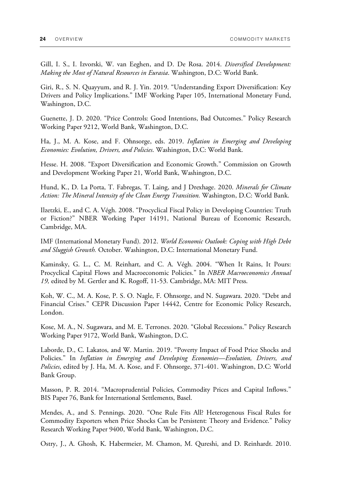Gill, I. S., I. Izvorski, W. van Eeghen, and D. De Rosa. 2014. *Diversified Development: Making the Most of Natural Resources in Eurasia*. Washington, D.C: World Bank.

Giri, R., S. N. Quayyum, and R. J. Yin. 2019. "Understanding Export Diversification: Key Drivers and Policy Implications." IMF Working Paper 105, International Monetary Fund, Washington, D.C.

Guenette, J. D. 2020. "Price Controls: Good Intentions, Bad Outcomes." Policy Research Working Paper 9212, World Bank, Washington, D.C.

Ha, J., M. A. Kose, and F. Ohnsorge, eds. 2019. *Inflation in Emerging and Developing Economies: Evolution, Drivers, and Policies*. Washington, D.C: World Bank.

Hesse. H. 2008. "Export Diversification and Economic Growth." Commission on Growth and Development Working Paper 21, World Bank, Washington, D.C.

Hund, K., D. La Porta, T. Fabregas, T. Laing, and J Drexhage. 2020. *Minerals for Climate Action: The Mineral Intensity of the Clean Energy Transition.* Washington, D.C: World Bank.

Ilzetzki, E., and C. A. Végh. 2008. "Procyclical Fiscal Policy in Developing Countries: Truth or Fiction?" NBER Working Paper 14191, National Bureau of Economic Research, Cambridge, MA.

IMF (International Monetary Fund). 2012. *World Economic Outlook: Coping with High Debt and Sluggish Growth.* October. Washington, D.C: International Monetary Fund.

Kaminsky, G. L., C. M. Reinhart, and C. A. Végh. 2004. "When It Rains, It Pours: Procyclical Capital Flows and Macroeconomic Policies." In *NBER Macroeconomics Annual 19,* edited by M. Gertler and K. Rogoff, 11-53. Cambridge, MA: MIT Press.

Koh, W. C., M. A. Kose, P. S. O. Nagle, F. Ohnsorge, and N. Sugawara. 2020. "Debt and Financial Crises." CEPR Discussion Paper 14442, Centre for Economic Policy Research, London.

Kose, M. A., N. Sugawara, and M. E. Terrones. 2020. "Global Recessions." Policy Research Working Paper 9172, World Bank, Washington, D.C.

Laborde, D., C. Lakatos, and W. Martin. 2019. "Poverty Impact of Food Price Shocks and Policies." In *Inflation in Emerging and Developing Economies—Evolution, Drivers, and Policies*, edited by J. Ha, M. A. Kose, and F. Ohnsorge, 371-401. Washington, D.C: World Bank Group.

Masson, P. R. 2014. "Macroprudential Policies, Commodity Prices and Capital Inflows." BIS Paper 76, Bank for International Settlements, Basel.

Mendes, A., and S. Pennings. 2020. "One Rule Fits All? Heterogenous Fiscal Rules for Commodity Exporters when Price Shocks Can be Persistent: Theory and Evidence." Policy Research Working Paper 9400, World Bank, Washington, D.C.

Ostry, J., A. Ghosh, K. Habermeier, M. Chamon, M. Qureshi, and D. Reinhardt. 2010.